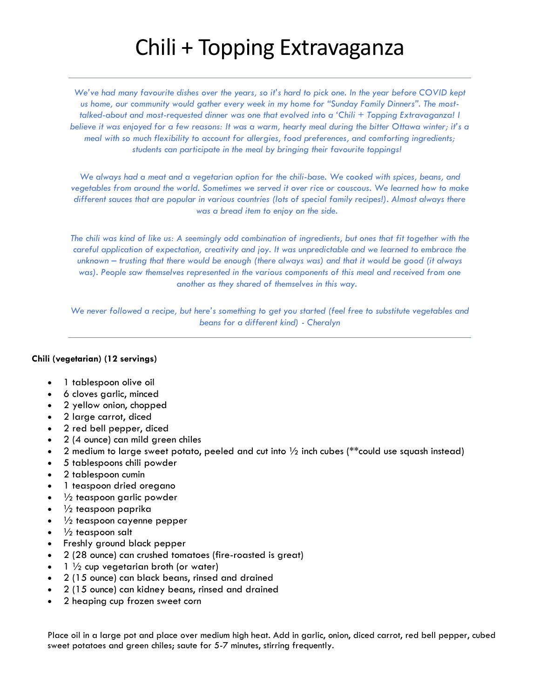# Chili + Topping Extravaganza

*We've had many favourite dishes over the years, so it's hard to pick one. In the year before COVID kept us home, our community would gather every week in my home for "Sunday Family Dinners". The mosttalked-about and most-requested dinner was one that evolved into a 'Chili + Topping Extravaganza! I believe it was enjoyed for a few reasons: It was a warm, hearty meal during the bitter Ottawa winter; it's a meal with so much flexibility to account for allergies, food preferences, and comforting ingredients; students can participate in the meal by bringing their favourite toppings!* 

*We always had a meat and a vegetarian option for the chili-base. We cooked with spices, beans, and vegetables from around the world. Sometimes we served it over rice or couscous. We learned how to make different sauces that are popular in various countries (lots of special family recipes!). Almost always there was a bread item to enjoy on the side.* 

*The chili was kind of like us: A seemingly odd combination of ingredients, but ones that fit together with the careful application of expectation, creativity and joy. It was unpredictable and we learned to embrace the unknown – trusting that there would be enough (there always was) and that it would be good (it always*  was). People saw themselves represented in the various components of this meal and received from one *another as they shared of themselves in this way.* 

*We never followed a recipe, but here's something to get you started (feel free to substitute vegetables and beans for a different kind) - Cheralyn*

## **Chili (vegetarian) (12 servings)**

- 1 tablespoon olive oil
- 6 cloves garlic, minced
- 2 yellow onion, chopped
- 2 large carrot, diced
- 2 red bell pepper, diced
- 2 (4 ounce) can mild green chiles
- 2 medium to large sweet potato, peeled and cut into  $\frac{1}{2}$  inch cubes (\*\*could use squash instead)
- 5 tablespoons chili powder
- 2 tablespoon cumin
- 1 teaspoon dried oregano
- $\frac{1}{2}$  teaspoon garlic powder
- $\frac{1}{2}$  teaspoon paprika
- $\frac{1}{2}$  teaspoon cayenne pepper
- $\frac{1}{2}$  teaspoon salt
- Freshly ground black pepper
- 2 (28 ounce) can crushed tomatoes (fire-roasted is great)
- $1\frac{1}{2}$  cup vegetarian broth (or water)
- 2 (15 ounce) can black beans, rinsed and drained
- 2 (15 ounce) can kidney beans, rinsed and drained
- 2 heaping cup frozen sweet corn

Place oil in a large pot and place over medium high heat. Add in garlic, onion, diced carrot, red bell pepper, cubed sweet potatoes and green chiles; saute for 5-7 minutes, stirring frequently.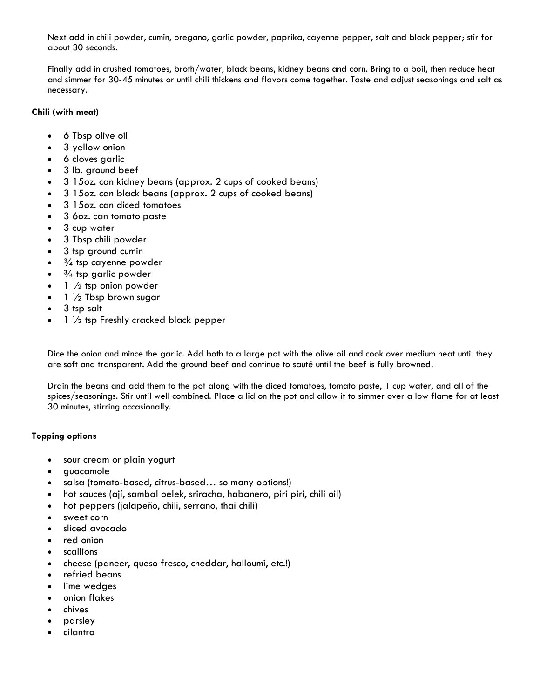Next add in chili powder, cumin, oregano, garlic powder, paprika, cayenne pepper, salt and black pepper; stir for about 30 seconds.

Finally add in crushed tomatoes, broth/water, black beans, kidney beans and corn. Bring to a boil, then reduce heat and simmer for 30-45 minutes or until chili thickens and flavors come together. Taste and adjust seasonings and salt as necessary.

#### **Chili (with meat)**

- 6 Tbsp olive oil
- 3 yellow onion
- 6 cloves garlic
- 3 lb. ground beef
- 3 15oz. can kidney beans (approx. 2 cups of cooked beans)
- 3 15oz. can black beans (approx. 2 cups of cooked beans)
- 3 15oz. can diced tomatoes
- 3 6oz. can tomato paste
- 3 cup water
- 3 Tbsp chili powder
- 3 tsp ground cumin
- $\frac{3}{4}$  tsp cayenne powder
- $\frac{3}{4}$  tsp garlic powder
- $\bullet$  1  $\frac{1}{2}$  tsp onion powder
- $1\frac{1}{2}$  Tbsp brown sugar
- 3 tsp salt
- 1 1/2 tsp Freshly cracked black pepper

Dice the onion and mince the garlic. Add both to a large pot with the olive oil and cook over medium heat until they are soft and transparent. Add the ground beef and continue to sauté until the beef is fully browned.

Drain the beans and add them to the pot along with the diced tomatoes, tomato paste, 1 cup water, and all of the spices/seasonings. Stir until well combined. Place a lid on the pot and allow it to simmer over a low flame for at least 30 minutes, stirring occasionally.

## **Topping options**

- sour cream or plain yogurt
- guacamole
- salsa (tomato-based, citrus-based… so many options!)
- hot sauces (ají, sambal oelek, sriracha, habanero, piri piri, chili oil)
- hot peppers (jalapeño, chili, serrano, thai chili)
- sweet corn
- sliced avocado
- red onion
- scallions
- cheese (paneer, queso fresco, cheddar, halloumi, etc.!)
- refried beans
- lime wedges
- onion flakes
- chives
- parsley
- cilantro